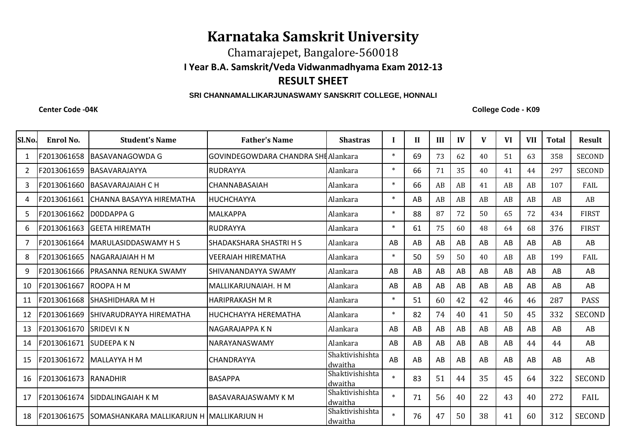## **Karnataka Samskrit University**

Chamarajepet, Bangalore-560018

**I Year B.A. Samskrit/Veda Vidwanmadhyama Exam 2012-13**

## **RESULT SHEET**

## **SRI CHANNAMALLIKARJUNASWAMY SANSKRIT COLLEGE, HONNALI**

**Center Code -04K**

**College Code - K09**

| Sl.No.         | Enrol No.   | <b>Student's Name</b>                    | <b>Father's Name</b>                | <b>Shastras</b>            |        | $\mathbf{H}$ | III | IV | $\mathbf{V}$ | <b>VI</b> | <b>VII</b> | <b>Total</b> | <b>Result</b> |
|----------------|-------------|------------------------------------------|-------------------------------------|----------------------------|--------|--------------|-----|----|--------------|-----------|------------|--------------|---------------|
| 1              | F2013061658 | BASAVANAGOWDA G                          | GOVINDEGOWDARA CHANDRA SHI Alankara |                            | $\ast$ | 69           | 73  | 62 | 40           | 51        | 63         | 358          | <b>SECOND</b> |
| $\overline{2}$ | F2013061659 | BASAVARAJAYYA                            | <b>RUDRAYYA</b>                     | Alankara                   | $\ast$ | 66           | 71  | 35 | 40           | 41        | 44         | 297          | <b>SECOND</b> |
| 3              | F2013061660 | <b>BASAVARAJAIAH C H</b>                 | CHANNABASAIAH                       | Alankara                   | $\ast$ | 66           | AB  | AB | 41           | AB        | AB         | 107          | FAIL          |
| 4              | F2013061661 | CHANNA BASAYYA HIREMATHA                 | <b>IHUCHCHAYYA</b>                  | Alankara                   | $\ast$ | AB           | AB  | AB | AB           | AB        | AB         | AB           | AB            |
| 5              | F2013061662 | DODDAPPA G                               | <b>MALKAPPA</b>                     | Alankara                   | $\ast$ | 88           | 87  | 72 | 50           | 65        | 72         | 434          | <b>FIRST</b>  |
| 6              | F2013061663 | <b>GEETA HIREMATH</b>                    | <b>RUDRAYYA</b>                     | Alankara                   | $\ast$ | 61           | 75  | 60 | 48           | 64        | 68         | 376          | <b>FIRST</b>  |
| 7              | F2013061664 | MARULASIDDASWAMY H S                     | SHADAKSHARA SHASTRI H S             | Alankara                   | AB     | AB           | AB  | AB | AB           | AB        | AB         | AB           | AB            |
| 8              | F2013061665 | NAGARAJAIAH H M                          | <b>VEERAIAH HIREMATHA</b>           | Alankara                   | $\ast$ | 50           | 59  | 50 | 40           | AB        | AB         | 199          | FAIL          |
| 9              | F2013061666 | PRASANNA RENUKA SWAMY                    | SHIVANANDAYYA SWAMY                 | Alankara                   | AB     | AB           | AB  | AB | AB           | AB        | AB         | AB           | AB            |
| 10             | F2013061667 | ROOPA H M                                | MALLIKARJUNAIAH. H M                | Alankara                   | AB     | AB           | AB  | AB | AB           | AB        | AB         | AB           | AB            |
| 11             | F2013061668 | SHASHIDHARA M H                          | <b>HARIPRAKASH M R</b>              | Alankara                   | $\ast$ | 51           | 60  | 42 | 42           | 46        | 46         | 287          | <b>PASS</b>   |
| 12             | F2013061669 | SHIVARUDRAYYA HIREMATHA                  | ІНUCHCHAYYA HEREMATHA               | Alankara                   | $\ast$ | 82           | 74  | 40 | 41           | 50        | 45         | 332          | <b>SECOND</b> |
| 13             | F2013061670 | <b>SRIDEVI K N</b>                       | INAGARAJAPPA K N                    | Alankara                   | AB     | AB           | AB  | AB | AB           | AB        | AB         | AB           | AB            |
| 14             | F2013061671 | <b>SUDEEPA KN</b>                        | <b>NARAYANASWAMY</b>                | Alankara                   | AB     | AB           | AB  | AB | AB           | AB        | 44         | 44           | AB            |
| 15             | F2013061672 | <b>MALLAYYA H M</b>                      | <b>CHANDRAYYA</b>                   | Shaktivishishta<br>dwaitha | AB     | AB           | AB  | AB | AB           | AB        | AB         | AB           | AB            |
| 16             | F2013061673 | RANADHIR                                 | <b>BASAPPA</b>                      | Shaktivishishta<br>dwaitha | $\ast$ | 83           | 51  | 44 | 35           | 45        | 64         | 322          | <b>SECOND</b> |
| 17             | F2013061674 | SIDDALINGAIAH K M                        | <b>BASAVARAJASWAMY K M</b>          | Shaktivishishta<br>dwaitha | $\ast$ | 71           | 56  | 40 | 22           | 43        | 40         | 272          | FAIL          |
| 18             | F2013061675 | SOMASHANKARA MALLIKARJUN H MALLIKARJUN H |                                     | Shaktivishishta<br>dwaitha | $\ast$ | 76           | 47  | 50 | 38           | 41        | 60         | 312          | <b>SECOND</b> |
|                |             |                                          |                                     |                            |        |              |     |    |              |           |            |              |               |